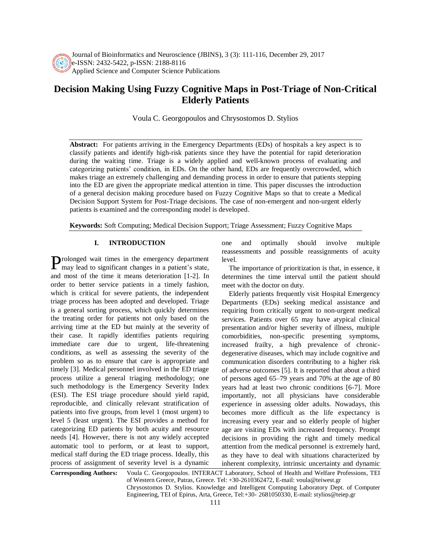

Journal of Bioinformatics and Neuroscience (JBINS), 3 (3): 111-116, December 29, 2017 e-ISSN: 2432-5422, p-ISSN: 2188-8116 Applied Science and Computer Science Publications

# **Decision Making Using Fuzzy Cognitive Maps in Post-Triage of Non-Critical Elderly Patients**

Voula C. Georgopoulos and Chrysostomos D. Stylios

**Abstract:** For patients arriving in the Emergency Departments (EDs) of hospitals a key aspect is to classify patients and identify high-risk patients since they have the potential for rapid deterioration during the waiting time. Triage is a widely applied and well-known process of evaluating and categorizing patients' condition, in EDs. On the other hand, EDs are frequently overcrowded, which makes triage an extremely challenging and demanding process in order to ensure that patients stepping into the ED are given the appropriate medical attention in time. This paper discusses the introduction of a general decision making procedure based on Fuzzy Cognitive Maps so that to create a Medical Decision Support System for Post-Triage decisions. The case of non-emergent and non-urgent elderly patients is examined and the corresponding model is developed.

**Keywords:** Soft Computing; Medical Decision Support; Triage Assessment; Fuzzy Cognitive Maps

#### **I. INTRODUCTION**

Prolonged wait times in the emergency department<br>may lead to significant changes in a patient's state, may lead to significant changes in a patient's state, and most of the time it means deterioration [1-2]. In order to better service patients in a timely fashion, which is critical for severe patients, the independent triage process has been adopted and developed. Triage is a general sorting process, which quickly determines the treating order for patients not only based on the arriving time at the ED but mainly at the severity of their case. It rapidly identifies patients requiring immediate care due to urgent, life-threatening conditions, as well as assessing the severity of the problem so as to ensure that care is appropriate and timely [3]. Medical personnel involved in the ED triage process utilize a general triaging methodology; one such methodology is the Emergency Severity Index (ESI). The ESI triage procedure should yield rapid, reproducible, and clinically relevant stratification of patients into five groups, from level 1 (most urgent) to level 5 (least urgent). The ESI provides a method for categorizing ED patients by both acuity and resource needs [4]. However, there is not any widely accepted automatic tool to perform, or at least to support, medical staff during the ED triage process. Ideally, this process of assignment of severity level is a dynamic

one and optimally should involve multiple reassessments and possible reassignments of acuity level.

The importance of prioritization is that, in essence, it determines the time interval until the patient should meet with the doctor on duty.

Elderly patients frequently visit Hospital Emergency Departments (EDs) seeking medical assistance and requiring from critically urgent to non-urgent medical services. Patients over 65 may have atypical clinical presentation and/or higher severity of illness, multiple comorbidities, non-specific presenting symptoms, increased frailty, a high prevalence of chronicdegenerative diseases, which may include cognitive and communication disorders contributing to a higher risk of adverse outcomes [5]. It is reported that about a third of persons aged 65–79 years and 70% at the age of 80 years had at least two chronic conditions [6-7]. More importantly, not all physicians have considerable experience in assessing older adults. Nowadays, this becomes more difficult as the life expectancy is increasing every year and so elderly people of higher age are visiting EDs with increased frequency. Prompt decisions in providing the right and timely medical attention from the medical personnel is extremely hard, as they have to deal with situations characterized by inherent complexity, intrinsic uncertainty and dynamic

**Corresponding Authors:** Voula C. Georgopoulos. INTERACT Laboratory, School of Health and Welfare Professions, TEI of Western Greece, Patras, Greece. Tel: +30-2610362472, E-mail: voula@teiwest.gr Chrysostomos D. Stylios. Knowledge and Intelligent Computing Laboratory Dept. of Computer Engineering, TEI of Epirus, Arta, Greece, Tel:+30- 2681050330, E-mail: stylios@teiep.gr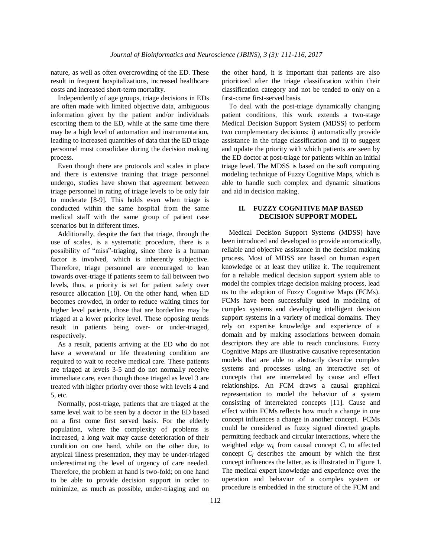nature, as well as often overcrowding of the ED. These result in frequent hospitalizations, increased healthcare costs and increased short-term mortality.

Independently of age groups, triage decisions in EDs are often made with limited objective data, ambiguous information given by the patient and/or individuals escorting them to the ED, while at the same time there may be a high level of automation and instrumentation, leading to increased quantities of data that the ED triage personnel must consolidate during the decision making process.

Even though there are protocols and scales in place and there is extensive training that triage personnel undergo, studies have shown that agreement between triage personnel in rating of triage levels to be only fair to moderate [8-9]. This holds even when triage is conducted within the same hospital from the same medical staff with the same group of patient case scenarios but in different times.

Additionally, despite the fact that triage, through the use of scales, is a systematic procedure, there is a possibility of "miss"-triaging, since there is a human factor is involved, which is inherently subjective. Therefore, triage personnel are encouraged to lean towards over-triage if patients seem to fall between two levels, thus, a priority is set for patient safety over resource allocation [10]. On the other hand, when ED becomes crowded, in order to reduce waiting times for higher level patients, those that are borderline may be triaged at a lower priority level. These opposing trends result in patients being over- or under-triaged, respectively.

As a result, patients arriving at the ED who do not have a severe/and or life threatening condition are required to wait to receive medical care. These patients are triaged at levels 3-5 and do not normally receive immediate care, even though those triaged as level 3 are treated with higher priority over those with levels 4 and 5, etc.

Normally, post-triage, patients that are triaged at the same level wait to be seen by a doctor in the ED based on a first come first served basis. For the elderly population, where the complexity of problems is increased, a long wait may cause deterioration of their condition on one hand, while on the other due, to atypical illness presentation, they may be under-triaged underestimating the level of urgency of care needed. Therefore, the problem at hand is two-fold; on one hand to be able to provide decision support in order to minimize, as much as possible, under-triaging and on the other hand, it is important that patients are also prioritized after the triage classification within their classification category and not be tended to only on a first-come first-served basis.

To deal with the post-triage dynamically changing patient conditions, this work extends a two-stage Medical Decision Support System (MDSS) to perform two complementary decisions: i) automatically provide assistance in the triage classification and ii) to suggest and update the priority with which patients are seen by the ED doctor at post-triage for patients within an initial triage level. The MDSS is based on the soft computing modeling technique of Fuzzy Cognitive Maps, which is able to handle such complex and dynamic situations and aid in decision making.

## **II. FUZZY COGNITIVE MAP BASED DECISION SUPPORT MODEL**

Medical Decision Support Systems (MDSS) have been introduced and developed to provide automatically, reliable and objective assistance in the decision making process. Most of MDSS are based on human expert knowledge or at least they utilize it. The requirement for a reliable medical decision support system able to model the complex triage decision making process, lead us to the adoption of Fuzzy Cognitive Maps (FCMs). FCMs have been successfully used in modeling of complex systems and developing intelligent decision support systems in a variety of medical domains. They rely on expertise knowledge and experience of a domain and by making associations between domain descriptors they are able to reach conclusions. Fuzzy Cognitive Maps are illustrative causative representation models that are able to abstractly describe complex systems and processes using an interactive set of concepts that are interrelated by cause and effect relationships. An FCM draws a causal graphical representation to model the behavior of a system consisting of interrelated concepts [11]. Cause and effect within FCMs reflects how much a change in one concept influences a change in another concept. FCMs could be considered as fuzzy signed directed graphs permitting feedback and circular interactions, where the weighted edge  $w_{ij}$  from causal concept  $C_i$  to affected concept  $C_i$  describes the amount by which the first concept influences the latter, as is illustrated in Figure 1. The medical expert knowledge and experience over the operation and behavior of a complex system or procedure is embedded in the structure of the FCM and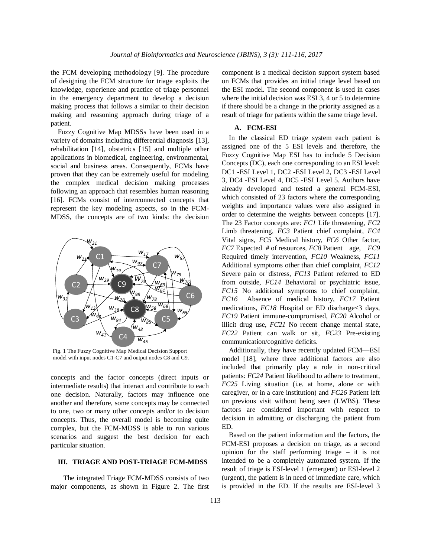the FCM developing methodology [9]. The procedure of designing the FCM structure for triage exploits the knowledge, experience and practice of triage personnel in the emergency department to develop a decision making process that follows a similar to their decision making and reasoning approach during triage of a patient.

Fuzzy Cognitive Map MDSSs have been used in a variety of domains including differential diagnosis [13], rehabilitation [14], obstetrics [15] and multiple other applications in biomedical, engineering, environmental, social and business areas. Consequently, FCMs have proven that they can be extremely useful for modeling the complex medical decision making processes following an approach that resembles human reasoning [16]. FCMs consist of interconnected concepts that represent the key modeling aspects, so in the FCM-MDSS, the concepts are of two kinds: the decision



Fig. 1 The Fuzzy Cognitive Map Medical Decision Support model with input nodes C1-C7 and output nodes C8 and C9.

concepts and the factor concepts (direct inputs or intermediate results) that interact and contribute to each one decision. Naturally, factors may influence one another and therefore, some concepts may be connected to one, two or many other concepts and/or to decision concepts. Thus, the overall model is becoming quite complex, but the FCM-MDSS is able to run various scenarios and suggest the best decision for each particular situation.

#### **III. TRIAGE AND POST-TRIAGE FCM-MDSS**

The integrated Triage FCM-MDSS consists of two major components, as shown in Figure 2. The first component is a medical decision support system based on FCMs that provides an initial triage level based on the ESI model. The second component is used in cases where the initial decision was ESI 3, 4 or 5 to determine if there should be a change in the priority assigned as a result of triage for patients within the same triage level.

## **A. FCM-ESI**

In the classical ED triage system each patient is assigned one of the 5 ESI levels and therefore, the Fuzzy Cognitive Map ESI has to include 5 Decision Concepts (DC), each one corresponding to an ESI level: DC1 -ESI Level 1, DC2 -ESI Level 2, DC3 -ESI Level 3, DC4 -ESI Level 4, DC5 -ESI Level 5. Authors have already developed and tested a general FCM-ESI, which consisted of 23 factors where the corresponding weights and importance values were also assigned in order to determine the weights between concepts [17]. The 23 Factor concepts are: *FC1* Life threatening, *FC2* Limb threatening, *FC3* Patient chief complaint, *FC4* Vital signs, *FC5* Medical history, *FC6* Other factor, *FC7* Expected # of resources, *FC8* Patient age, *FC9* Required timely intervention, *FC10* Weakness, *FC11* Additional symptoms other than chief complaint, *FC12* Severe pain or distress, *FC13* Patient referred to ED from outside, *FC14* Behavioral or psychiatric issue, *FC15* No additional symptoms to chief complaint, *FC16* Absence of medical history, *FC17* Patient medications, *FC18* Hospital or ED discharge <3 days, *FC19* Patient immune-compromised, *FC20* Alcohol or illicit drug use, *FC21* No recent change mental state, *FC22* Patient can walk or sit, *FC23* Pre-existing communication/cognitive deficits.

Additionally, they have recently updated FCM—ESI model [18], where three additional factors are also included that primarily play a role in non-critical patients: *FC24* Patient likelihood to adhere to treatment, *FC25* Living situation (i.e. at home, alone or with caregiver, or in a care institution) and *FC26* Patient left on previous visit without being seen (LWBS). These factors are considered important with respect to decision in admitting or discharging the patient from ED.

Based on the patient information and the factors, the FCM-ESI proposes a decision on triage, as a second opinion for the staff performing triage – it is not intended to be a completely automated system. If the result of triage is ESI-level 1 (emergent) or ESI-level 2 (urgent), the patient is in need of immediate care, which is provided in the ED. If the results are ESI-level 3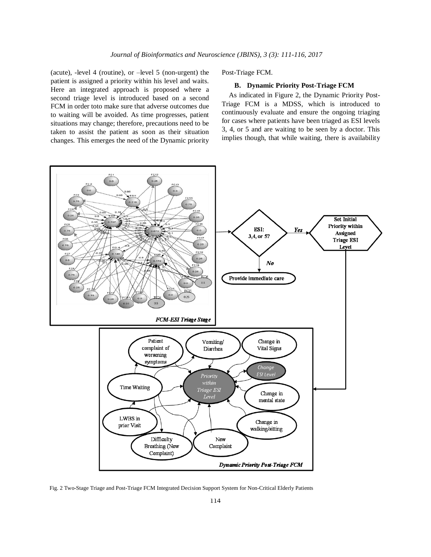(acute), -level 4 (routine), or –level 5 (non-urgent) the patient is assigned a priority within his level and waits. Here an integrated approach is proposed where a second triage level is introduced based on a second FCM in order toto make sure that adverse outcomes due to waiting will be avoided. As time progresses, patient situations may change; therefore, precautions need to be taken to assist the patient as soon as their situation changes. This emerges the need of the Dynamic priority Post-Triage FCM.

### **B. Dynamic Priority Post-Triage FCM**

As indicated in Figure 2, the Dynamic Priority Post-Triage FCM is a MDSS, which is introduced to continuously evaluate and ensure the ongoing triaging for cases where patients have been triaged as ESI levels 3, 4, or 5 and are waiting to be seen by a doctor. This implies though, that while waiting, there is availability



Fig. 2 Two-Stage Triage and Post-Triage FCM Integrated Decision Support System for Non-Critical Elderly Patients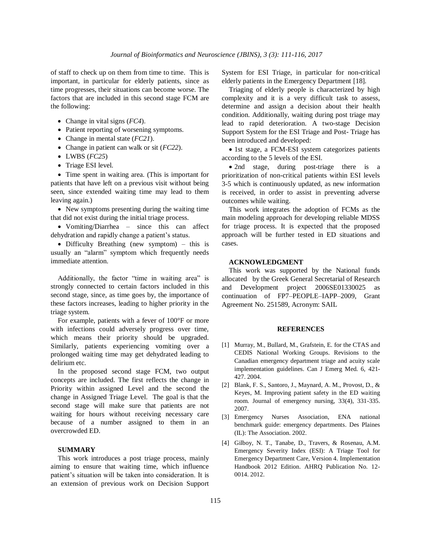of staff to check up on them from time to time. This is important, in particular for elderly patients, since as time progresses, their situations can become worse. The factors that are included in this second stage FCM are the following:

- Change in vital signs (*FC4*).
- Patient reporting of worsening symptoms.
- Change in mental state (*FC21*).
- Change in patient can walk or sit (*FC22*).
- LWBS (*FC25*)
- Triage ESI level.

• Time spent in waiting area. (This is important for patients that have left on a previous visit without being seen, since extended waiting time may lead to them leaving again.)

 New symptoms presenting during the waiting time that did not exist during the initial triage process.

• Vomiting/Diarrhea – since this can affect dehydration and rapidly change a patient's status.

 Difficulty Breathing (new symptom) – this is usually an "alarm" symptom which frequently needs immediate attention.

Additionally, the factor "time in waiting area" is strongly connected to certain factors included in this second stage, since, as time goes by, the importance of these factors increases, leading to higher priority in the triage system.

For example, patients with a fever of 100°F or more with infections could adversely progress over time, which means their priority should be upgraded. Similarly, patients experiencing vomiting over a prolonged waiting time may get dehydrated leading to delirium etc.

In the proposed second stage FCM, two output concepts are included. The first reflects the change in Priority within assigned Level and the second the change in Assigned Triage Level. The goal is that the second stage will make sure that patients are not waiting for hours without receiving necessary care because of a number assigned to them in an overcrowded ED.

## **SUMMARY**

This work introduces a post triage process, mainly aiming to ensure that waiting time, which influence patient's situation will be taken into consideration. It is an extension of previous work on Decision Support System for ESI Triage, in particular for non-critical elderly patients in the Emergency Department [18].

Triaging of elderly people is characterized by high complexity and it is a very difficult task to assess, determine and assign a decision about their health condition. Additionally, waiting during post triage may lead to rapid deterioration. A two-stage Decision Support System for the ESI Triage and Post- Triage has been introduced and developed:

• 1st stage, a FCM-ESI system categorizes patients according to the 5 levels of the ESI.

 2nd stage, during post-triage there is a prioritization of non-critical patients within ESI levels 3-5 which is continuously updated, as new information is received, in order to assist in preventing adverse outcomes while waiting.

This work integrates the adoption of FCMs as the main modeling approach for developing reliable MDSS for triage process. It is expected that the proposed approach will be further tested in ED situations and cases.

#### **ACKNOWLEDGMENT**

This work was supported by the National funds allocated by the Greek General Secretarial of Research and Development project 2006SE01330025 as continuation of FP7–PEOPLE–IAPP–2009, Grant Agreement No. 251589, Acronym: SAIL

#### **REFERENCES**

- [1] Murray, M., Bullard, M., Grafstein, E. for the CTAS and CEDIS National Working Groups. Revisions to the Canadian emergency department triage and acuity scale implementation guidelines. Can J Emerg Med. 6, 421- 427. 2004.
- [2] Blank, F. S., Santoro, J., Maynard, A. M., Provost, D., & Keyes, M. Improving patient safety in the ED waiting room. Journal of emergency nursing, 33(4), 331-335. 2007.
- [3] Emergency Nurses Association, ENA national benchmark guide: emergency departments. Des Plaines (IL): The Association. 2002.
- [4] Gilboy, N. T., Tanabe, D., Travers, & Rosenau, A.M. Emergency Severity Index (ESI): A Triage Tool for Emergency Department Care, Version 4. Implementation Handbook 2012 Edition. AHRQ Publication No. 12- 0014. 2012.